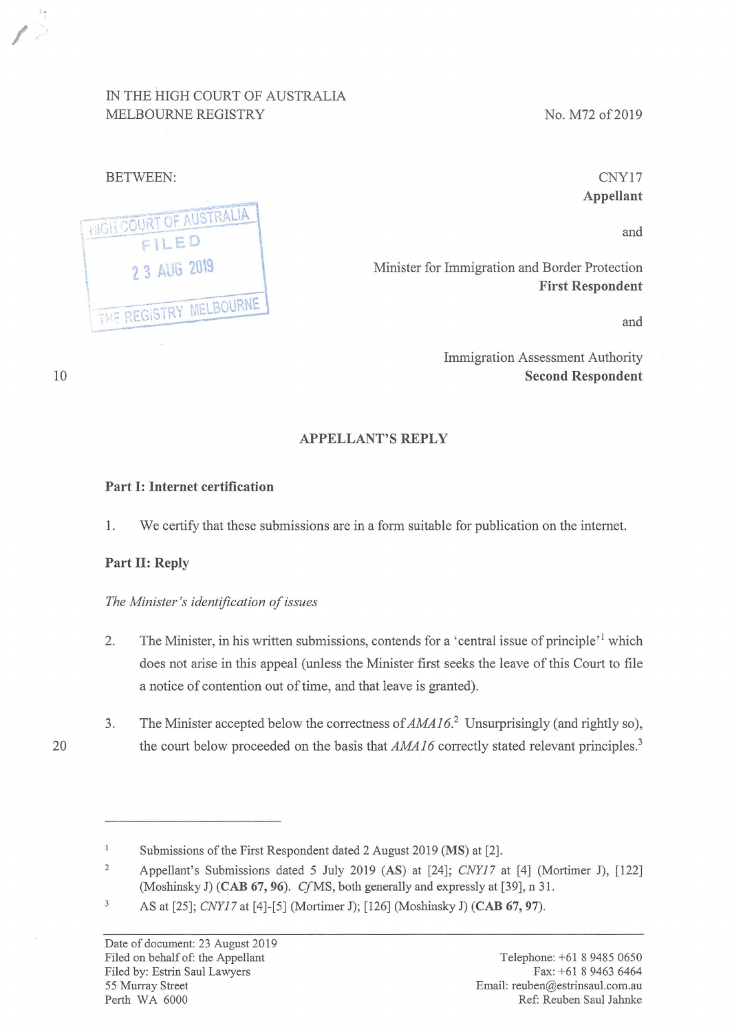# IN THE HIGH COURT OF AUSTRALIA MELBOURNE REGISTRY

No. M72 of 2019

## BETWEEN:

,.



CNY17 **Appellant** 

and

Minister for Immigration and Border Protection **First Respondent** 

and

Immigration Assessment Authority **Second Respondent** 

#### **APPELLANT'S REPLY**

#### **Part I: Internet certification**

**1.** We certify that these submissions are in a form suitable for publication on the internet.

#### **Part II: Reply**

#### *The Minister's identification of issues*

- 2. The Minister, in his written submissions, contends for a 'central issue of principle'<sup>1</sup> which does not arise in this appeal (unless the Minister first seeks the leave of this Court to file a notice of contention out of time, and that leave is granted).
- 3. The Minister accepted below the correctness of AMA16.<sup>2</sup> Unsurprisingly (and rightly so), the court below proceeded on the basis that *AMA16* correctly stated relevant principles.<sup>3</sup>

20

 $\mathbf{1}$ Submissions of the First Respondent dated 2 August 2019 **(MS)** at [2].

<sup>2</sup>  Appellant's Submissions dated 5 July 2019 **(AS)** at [24]; *CNYl7* at [4] (Mortimer J), [122] (Moshinsky J) **(CAB 67, 96)**. *Cf* MS, both generally and expressly at [39], n 31.

 $\ensuremath{\mathsf{3}}$ AS at [25]; *CNYl7* at [4]-[5] (Mortimer J); [126] (Moshinsky J) **(CAB 67, 97).**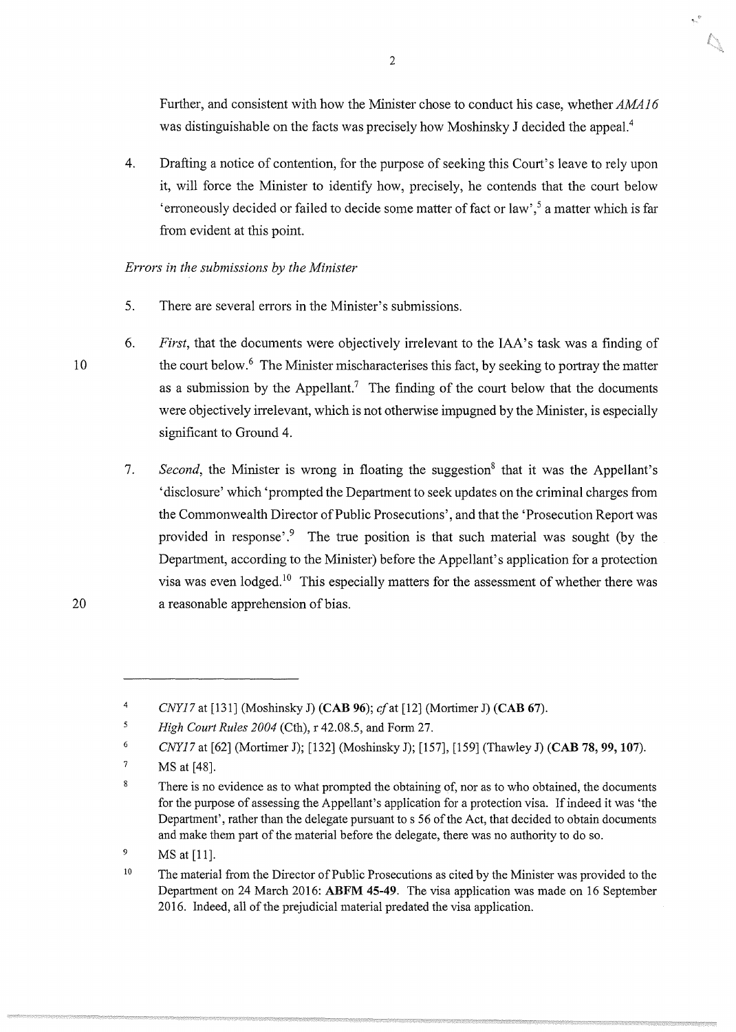Further, and consistent with how the Minister chose to conduct his case, whether AMA16 was distinguishable on the facts was precisely how Moshinsky J decided the appeal.<sup>4</sup>

 $\bar{\mathbb{Q}}$ 

4. Drafting a notice of contention, for the purpose of seeking this Court's leave to rely upon it, will force the Minister to identify how, precisely, he contends that the court below 'erroneously decided or failed to decide some matter of fact or law',5 a matter which is far from evident at this point.

*Errors in the submissions by the Minister* 

- 5. There are several errors in the Minister's submissions.
- 6. *First*, that the documents were objectively irrelevant to the IAA's task was a finding of the court below.<sup>6</sup> The Minister mischaracterises this fact, by seeking to portray the matter as a submission by the Appellant.<sup>7</sup> The finding of the court below that the documents were objectively irrelevant, which is not otherwise impugned by the Minister, is especially significant to Ground 4.
	- 7. *Second*, the Minister is wrong in floating the suggestion<sup>8</sup> that it was the Appellant's 'disclosure' which 'prompted the Department to seek updates on the criminal charges from the Commonwealth Director of Public Prosecutions', and that the 'Prosecution Report was provided in response'.<sup>9</sup> The true position is that such material was sought (by the Department, according to the Minister) before the Appellant's application for a protection visa was even lodged.<sup>10</sup> This especially matters for the assessment of whether there was a reasonable apprehension of bias.

2

20

<sup>4</sup>  *CNY17* at [131] (Moshinsky J) **(CAB 96);** cfat [12] (Mortimer J) **(CAB 67).** 

 $\overline{\mathbf{5}}$ *High Court Rules 2004* (Cth), r 42.08.5, and Form 27.

<sup>6</sup>  *CNY17* at [62] (Mortimer J); [132] (Moshinsky **J);** [157], [159] (Thawley J) **(CAB 78, 99, 107).** 

<sup>7</sup>  **MS** at [48].

<sup>8</sup>  There is no evidence as to what prompted the obtaining of, nor as to who obtained, the documents for the purpose of assessing the Appellant's application for a protection visa. If indeed it was 'the Department', rather than the delegate pursuant to s 56 of the Act, that decided to obtain documents and make them part of the material before the delegate, there was no authority to do so.

<sup>9</sup>  MS at [11].

<sup>10</sup>  The material from the Director of Public Prosecutions as cited by the Minister was provided to the Department on 24 March 2016: **ABFM 45-49.** The visa application was made on 16 September 2016. Indeed, all of the prejudicial material predated the visa application.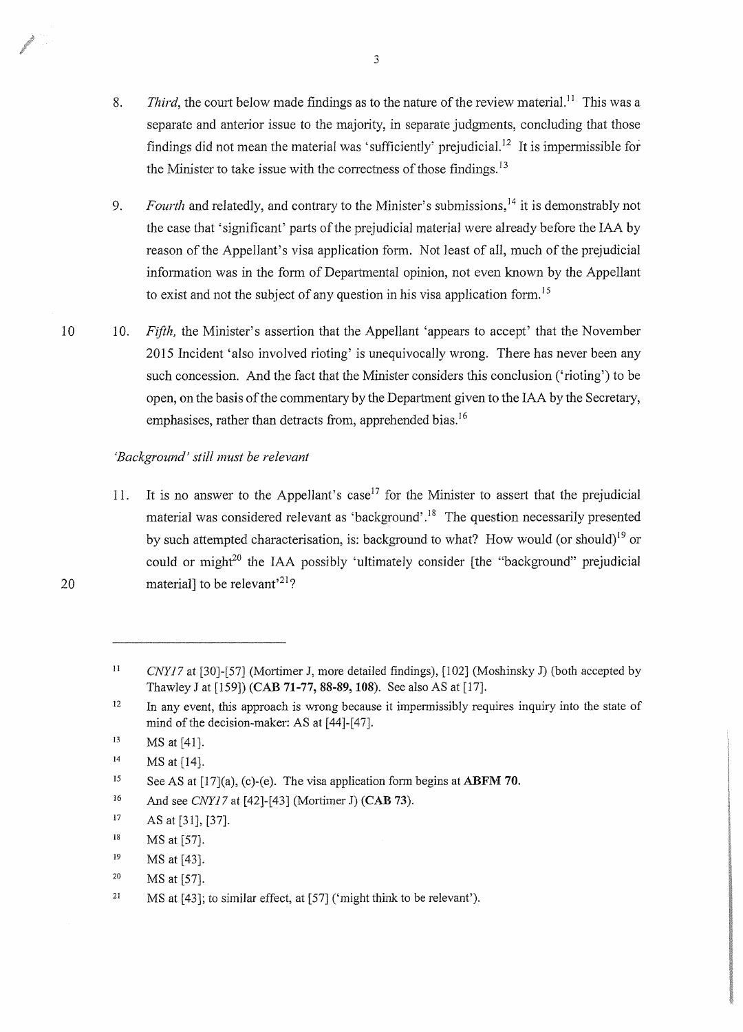- 8. *Third*, the court below made findings as to the nature of the review material.<sup>11</sup> This was a separate and anterior issue to the majority, in separate judgments, concluding that those findings did not mean the material was 'sufficiently' prejudicial.<sup>12</sup> It is impermissible for the Minister to take issue with the correctness of those findings.  $13$
- 9. *Fourth* and relatedly, and contrary to the Minister's submissions, 14 it is demonstrably not the case that 'significant' parts of the prejudicial material were already before the IAA by reason of the Appellant's visa application form. Not least of all, much of the prejudicial information was in the form of Departmental opinion, not even known by the Appellant to exist and not the subject of any question in his visa application form.<sup>15</sup>
- 10 10. *Fifth,* the Minister's assertion that the Appellant 'appears to accept' that the November 2015 Incident 'also involved rioting' is unequivocally wrong. There has never been any such concession. And the fact that the Minister considers this conclusion ('rioting') to be open, on the basis of the commentary by the Department given to the IAA by the Secretary, emphasises, rather than detracts from, apprehended bias.<sup>16</sup>

## *'Background' still must be relevant*

11. It is no answer to the Appellant's case<sup>17</sup> for the Minister to assert that the prejudicial material was considered relevant as 'background'.<sup>18</sup> The question necessarily presented by such attempted characterisation, is: background to what? How would (or should)<sup>19</sup> or could or might $^{20}$  the IAA possibly 'ultimately consider [the "background" prejudicial material] to be relevant'<sup>21</sup>?

19 MS at [43].

<sup>11</sup>  *CNY17* at [30]-[57] (Mortimer J, more detailed findings), [102] (Moshinsky J) (both accepted by Thawley J at [159)) **(CAB 71-77, 88-89, 108).** See also AS at [17].

<sup>12</sup>  In any event, this approach is wrong because it impermissibly requires inquiry into the state of mind of the decision-maker: AS at [44]-[47].

<sup>13</sup>  MS at [41).

<sup>14</sup>  MS at [14].

<sup>15</sup>  See AS at [17](a), (c)-(e). The visa application form begins at **ABFM 70.** 

<sup>16</sup>  And see *CNY17* at [42]-[43] (Mortimer J) (CAB 73).

<sup>17</sup>  AS at [31], [37].

<sup>18</sup>  MS at [57].

<sup>20</sup>  MS at [57].

<sup>21</sup>  MS at (43]; to similar effect, at [57) ('might think to be relevant').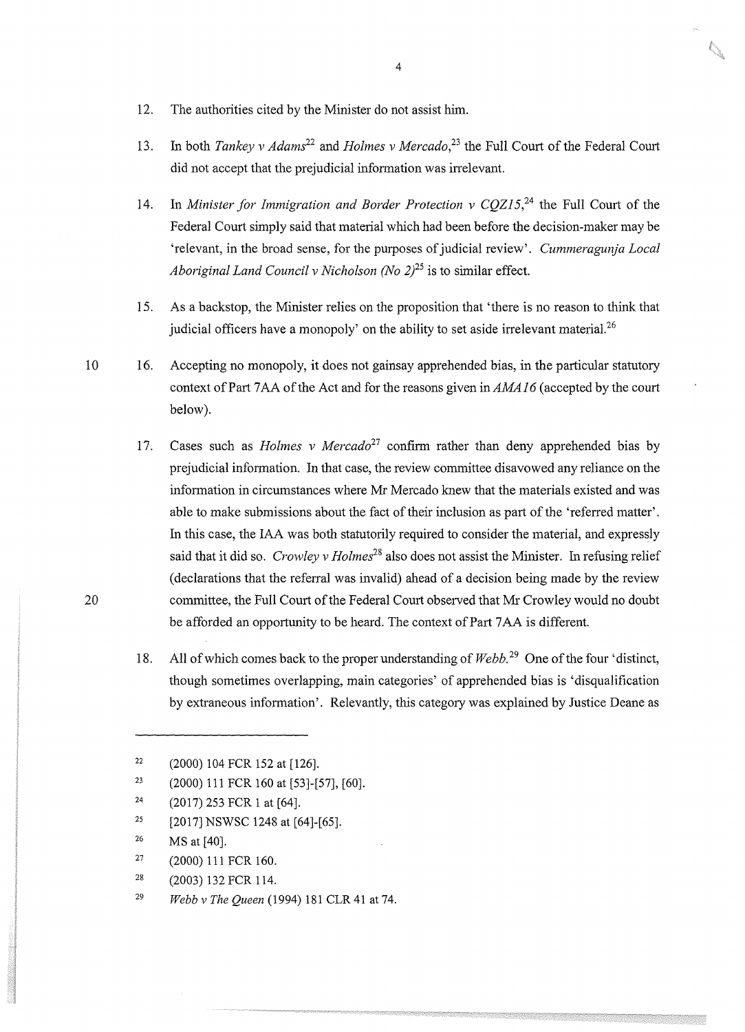- 12. The authorities cited by the Minister do not assist him.
- 13. In both *Tankey v Adams2<sup>2</sup>*and *Holmes v Mercado,<sup>23</sup>*the Full Court of the Federal Court did not accept that the prejudicial information was irrelevant.
- 14. In *Minister for Immigration and Border Protection v CQZ15*<sup>24</sup> the Full Court of the Federal Court simply said that material which had been before the decision-maker may be 'relevant, in the broad sense, for the purposes of judicial review'. *Cummeragunja Local Aboriginal Land Council v Nicholson (No*  $2^{25}$  *is to similar effect.*
- 15. As a backstop, the Minister relies on the proposition that 'there is no reason to think that judicial officers have a monopoly' on the ability to set aside irrelevant material.<sup>26</sup>
- 10 16. Accepting no monopoly, it does not gainsay apprehended bias, in the particular statutory context of Part ?AA of the Act and for the reasons given *inAMA.16* (accepted by the court below).
	- 17. Cases such as *Holmes v Mercado*<sup>27</sup> confirm rather than deny apprehended bias by prejudicial information. In that case, the review committee disavowed any reliance on the information in circumstances where Mr Mercado knew that the materials existed and was able to make submissions about the fact of their inclusion as part of the 'referred matter'. In this case, the IAA was both statutorily required to consider the material, and expressly said that it did so. *Crowley* v *Holmes<sup>28</sup>*also does not assist the Minister. In refusing relief ( declarations that the referral was invalid) ahead of a decision being made by the review committee, the Full Court of the Federal Court observed that Mr Crowley would no doubt be afforded an opportunity to be heard. The context of Part 7 AA is different.
	- 18. All of which comes back to the proper understanding of *Webb*.<sup>29</sup> One of the four 'distinct, though sometimes overlapping, main categories' of apprehended bias is 'disqualification by extraneous information'. Relevantly, this category was explained by Justice Deane as

20

- 27 (2000) 111 FCR 160.
- 28 (2003) 132 FCR 114.

 $22$  (2000) 104 FCR 152 at [126].

<sup>&</sup>lt;sup>23</sup> (2000) 111 FCR 160 at [53]-[57], [60].

 $24$  (2017) 253 FCR 1 at [64].

<sup>&</sup>lt;sup>25</sup> [2017] NSWSC 1248 at [64]-[65].

<sup>26</sup> MS at [40).

<sup>29</sup> *Webb v The Queen* (1994) 181 CLR 41 at 74.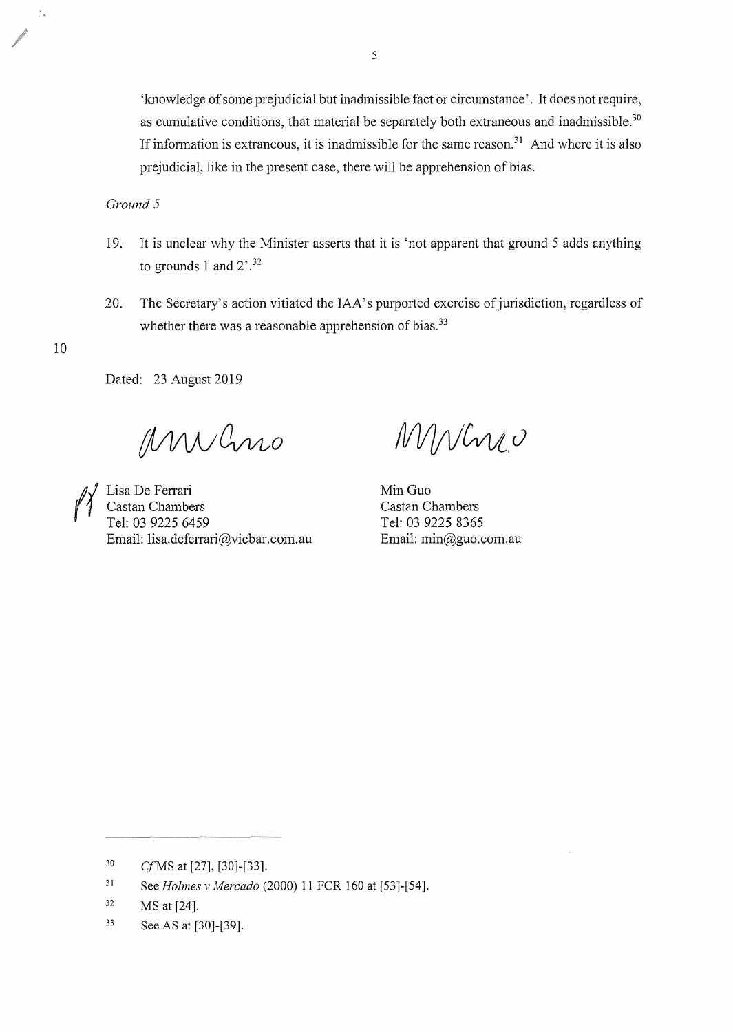'knowledge of some prejudicial but inadmissible fact or circumstance'. It does not require, as cumulative conditions, that material be separately both extraneous and inadmissible. $30$ If information is extraneous, it is inadmissible for the same reason.<sup>31</sup> And where it is also prejudicial, like in the present case, there will be apprehension of bias.

*Ground* 5

- 19. It is unclear why the Minister asserts that it is 'not apparent that ground 5 adds anything to grounds 1 and  $2^{7.32}$
- 20. The Secretary's action vitiated the IAA's purported exercise of jurisdiction, regardless of whether there was a reasonable apprehension of bias. $33$

10

Dated: 23 August 2019

MWCno

 $\begin{matrix} \mathcal{U} \\ \mathcal{U} \end{matrix}$  Lisa De Ferrari<br>Castan Chambe<br>Tal: 03.0225.64 Castan Chambers Tel: 03 9225 6459 Email: lisa.deferrari@vicbar.com.au

MWhre

Min Guo Castan Chambers Tel: 03 9225 8365 Email: min@guo.com.au

*CfMS* at [27], [30]-[33]. 30

<sup>31</sup>  See *Holmes v Mercado* (2000) 11 FCR 160 at [53]-[54].

<sup>32</sup>  MS at [24].

<sup>33</sup>  See AS at [30]-[39].